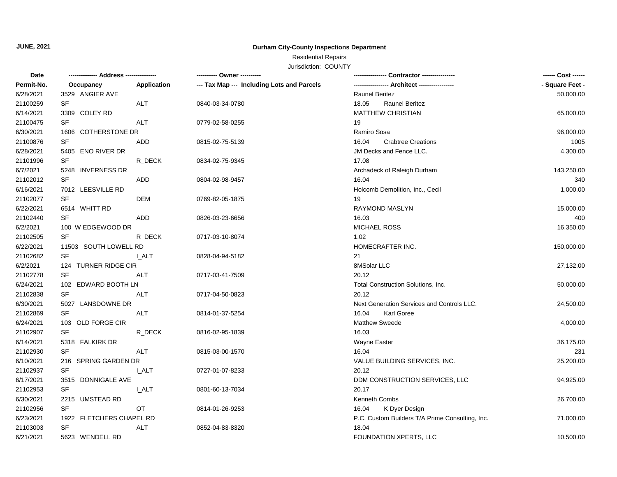# **JUNE, 2021**

### **Durham City-County Inspections Department**

# Residential Repairs

### Jurisdiction: COUNTY

| - Square Feet -<br>Permit-No.<br>Application<br>--- Tax Map --- Including Lots and Parcels<br>Occupancy<br>3529 ANGIER AVE<br><b>Raunel Beritez</b><br>50,000.00<br>SF<br>ALT<br>0840-03-34-0780<br>18.05<br><b>Raunel Beritez</b><br><b>MATTHEW CHRISTIAN</b><br>3309 COLEY RD<br>65,000.00<br>SF<br><b>ALT</b><br>19<br>0779-02-58-0255<br>1606 COTHERSTONE DR<br>Ramiro Sosa<br>96,000.00<br>SF<br>16.04<br><b>Crabtree Creations</b><br>1005<br>ADD<br>0815-02-75-5139<br>5405 ENO RIVER DR<br>JM Decks and Fence LLC.<br>4,300.00<br>SF<br>R DECK<br>17.08<br>0834-02-75-9345<br>6/7/2021<br>5248 INVERNESS DR<br>Archadeck of Raleigh Durham<br>143,250.00<br>SF<br>340<br>ADD<br>16.04<br>0804-02-98-9457<br>6/16/2021<br>7012 LEESVILLE RD<br>Holcomb Demolition, Inc., Cecil<br>1,000.00<br>SF<br>19<br><b>DEM</b><br>0769-82-05-1875<br>6/22/2021<br>6514 WHITT RD<br>RAYMOND MASLYN<br>15,000.00<br>21102440<br>SF<br>ADD<br>0826-03-23-6656<br>16.03<br>400<br>6/2/2021<br>100 W EDGEWOOD DR<br><b>MICHAEL ROSS</b><br>16,350.00<br>21102505<br>SF<br>R_DECK<br>1.02<br>0717-03-10-8074<br>6/22/2021<br>11503 SOUTH LOWELL RD<br>HOMECRAFTER INC.<br>150,000.00<br>21102682<br>SF<br><b>LALT</b><br>21<br>0828-04-94-5182<br>6/2/2021<br>124 TURNER RIDGE CIR<br>8MSolar LLC<br>27,132.00<br>21102778<br>SF<br>20.12<br>ALT<br>0717-03-41-7509<br>6/24/2021<br>102 EDWARD BOOTH LN<br>Total Construction Solutions, Inc.<br>50,000.00<br><b>SF</b><br>20.12<br>21102838<br>ALT<br>0717-04-50-0823<br>6/30/2021<br>5027 LANSDOWNE DR<br>Next Generation Services and Controls LLC.<br>24,500.00<br>SF<br>21102869<br><b>ALT</b><br>16.04<br>Karl Goree<br>0814-01-37-5254<br>Matthew Sweede<br>6/24/2021<br>103 OLD FORGE CIR<br>4,000.00<br>SF<br>21102907<br>16.03<br>R DECK<br>0816-02-95-1839<br>6/14/2021<br>5318 FALKIRK DR<br>Wayne Easter<br>36,175.00<br>21102930<br><b>SF</b><br>ALT<br>16.04<br>0815-03-00-1570<br>231<br>6/10/2021<br>216 SPRING GARDEN DR<br>VALUE BUILDING SERVICES, INC.<br>25,200.00<br>21102937<br>SF<br>20.12<br><b>I_ALT</b><br>0727-01-07-8233<br>6/17/2021<br>3515 DONNIGALE AVE<br>DDM CONSTRUCTION SERVICES, LLC<br>94,925.00<br>21102953<br>SF<br>20.17<br><b>LALT</b><br>0801-60-13-7034<br>6/30/2021<br>2215 UMSTEAD RD<br>Kenneth Combs<br>26,700.00<br>SF<br>21102956<br>OT<br>16.04<br>K Dyer Design<br>0814-01-26-9253<br>6/23/2021<br>1922 FLETCHERS CHAPEL RD<br>P.C. Custom Builders T/A Prime Consulting, Inc.<br>71,000.00<br>SF<br>21103003<br>ALT<br>0852-04-83-8320<br>18.04<br>6/21/2021<br>5623 WENDELL RD<br>FOUNDATION XPERTS, LLC<br>10,500.00 | Date      |  |  | ---------- Owner ---------- | ------ Cost ------ |
|----------------------------------------------------------------------------------------------------------------------------------------------------------------------------------------------------------------------------------------------------------------------------------------------------------------------------------------------------------------------------------------------------------------------------------------------------------------------------------------------------------------------------------------------------------------------------------------------------------------------------------------------------------------------------------------------------------------------------------------------------------------------------------------------------------------------------------------------------------------------------------------------------------------------------------------------------------------------------------------------------------------------------------------------------------------------------------------------------------------------------------------------------------------------------------------------------------------------------------------------------------------------------------------------------------------------------------------------------------------------------------------------------------------------------------------------------------------------------------------------------------------------------------------------------------------------------------------------------------------------------------------------------------------------------------------------------------------------------------------------------------------------------------------------------------------------------------------------------------------------------------------------------------------------------------------------------------------------------------------------------------------------------------------------------------------------------------------------------------------------------------------------------------------------------------------------------------------------------------------------------------------------------------------------------------------------------------------------------------------------------------------------------------------------------------------------------------------------------------------------------------------------------------------------------------------------------------------------------------------------|-----------|--|--|-----------------------------|--------------------|
|                                                                                                                                                                                                                                                                                                                                                                                                                                                                                                                                                                                                                                                                                                                                                                                                                                                                                                                                                                                                                                                                                                                                                                                                                                                                                                                                                                                                                                                                                                                                                                                                                                                                                                                                                                                                                                                                                                                                                                                                                                                                                                                                                                                                                                                                                                                                                                                                                                                                                                                                                                                                                      |           |  |  |                             |                    |
|                                                                                                                                                                                                                                                                                                                                                                                                                                                                                                                                                                                                                                                                                                                                                                                                                                                                                                                                                                                                                                                                                                                                                                                                                                                                                                                                                                                                                                                                                                                                                                                                                                                                                                                                                                                                                                                                                                                                                                                                                                                                                                                                                                                                                                                                                                                                                                                                                                                                                                                                                                                                                      | 6/28/2021 |  |  |                             |                    |
|                                                                                                                                                                                                                                                                                                                                                                                                                                                                                                                                                                                                                                                                                                                                                                                                                                                                                                                                                                                                                                                                                                                                                                                                                                                                                                                                                                                                                                                                                                                                                                                                                                                                                                                                                                                                                                                                                                                                                                                                                                                                                                                                                                                                                                                                                                                                                                                                                                                                                                                                                                                                                      | 21100259  |  |  |                             |                    |
|                                                                                                                                                                                                                                                                                                                                                                                                                                                                                                                                                                                                                                                                                                                                                                                                                                                                                                                                                                                                                                                                                                                                                                                                                                                                                                                                                                                                                                                                                                                                                                                                                                                                                                                                                                                                                                                                                                                                                                                                                                                                                                                                                                                                                                                                                                                                                                                                                                                                                                                                                                                                                      | 6/14/2021 |  |  |                             |                    |
|                                                                                                                                                                                                                                                                                                                                                                                                                                                                                                                                                                                                                                                                                                                                                                                                                                                                                                                                                                                                                                                                                                                                                                                                                                                                                                                                                                                                                                                                                                                                                                                                                                                                                                                                                                                                                                                                                                                                                                                                                                                                                                                                                                                                                                                                                                                                                                                                                                                                                                                                                                                                                      | 21100475  |  |  |                             |                    |
|                                                                                                                                                                                                                                                                                                                                                                                                                                                                                                                                                                                                                                                                                                                                                                                                                                                                                                                                                                                                                                                                                                                                                                                                                                                                                                                                                                                                                                                                                                                                                                                                                                                                                                                                                                                                                                                                                                                                                                                                                                                                                                                                                                                                                                                                                                                                                                                                                                                                                                                                                                                                                      | 6/30/2021 |  |  |                             |                    |
|                                                                                                                                                                                                                                                                                                                                                                                                                                                                                                                                                                                                                                                                                                                                                                                                                                                                                                                                                                                                                                                                                                                                                                                                                                                                                                                                                                                                                                                                                                                                                                                                                                                                                                                                                                                                                                                                                                                                                                                                                                                                                                                                                                                                                                                                                                                                                                                                                                                                                                                                                                                                                      | 21100876  |  |  |                             |                    |
|                                                                                                                                                                                                                                                                                                                                                                                                                                                                                                                                                                                                                                                                                                                                                                                                                                                                                                                                                                                                                                                                                                                                                                                                                                                                                                                                                                                                                                                                                                                                                                                                                                                                                                                                                                                                                                                                                                                                                                                                                                                                                                                                                                                                                                                                                                                                                                                                                                                                                                                                                                                                                      | 6/28/2021 |  |  |                             |                    |
|                                                                                                                                                                                                                                                                                                                                                                                                                                                                                                                                                                                                                                                                                                                                                                                                                                                                                                                                                                                                                                                                                                                                                                                                                                                                                                                                                                                                                                                                                                                                                                                                                                                                                                                                                                                                                                                                                                                                                                                                                                                                                                                                                                                                                                                                                                                                                                                                                                                                                                                                                                                                                      | 21101996  |  |  |                             |                    |
|                                                                                                                                                                                                                                                                                                                                                                                                                                                                                                                                                                                                                                                                                                                                                                                                                                                                                                                                                                                                                                                                                                                                                                                                                                                                                                                                                                                                                                                                                                                                                                                                                                                                                                                                                                                                                                                                                                                                                                                                                                                                                                                                                                                                                                                                                                                                                                                                                                                                                                                                                                                                                      |           |  |  |                             |                    |
|                                                                                                                                                                                                                                                                                                                                                                                                                                                                                                                                                                                                                                                                                                                                                                                                                                                                                                                                                                                                                                                                                                                                                                                                                                                                                                                                                                                                                                                                                                                                                                                                                                                                                                                                                                                                                                                                                                                                                                                                                                                                                                                                                                                                                                                                                                                                                                                                                                                                                                                                                                                                                      | 21102012  |  |  |                             |                    |
|                                                                                                                                                                                                                                                                                                                                                                                                                                                                                                                                                                                                                                                                                                                                                                                                                                                                                                                                                                                                                                                                                                                                                                                                                                                                                                                                                                                                                                                                                                                                                                                                                                                                                                                                                                                                                                                                                                                                                                                                                                                                                                                                                                                                                                                                                                                                                                                                                                                                                                                                                                                                                      |           |  |  |                             |                    |
|                                                                                                                                                                                                                                                                                                                                                                                                                                                                                                                                                                                                                                                                                                                                                                                                                                                                                                                                                                                                                                                                                                                                                                                                                                                                                                                                                                                                                                                                                                                                                                                                                                                                                                                                                                                                                                                                                                                                                                                                                                                                                                                                                                                                                                                                                                                                                                                                                                                                                                                                                                                                                      | 21102077  |  |  |                             |                    |
|                                                                                                                                                                                                                                                                                                                                                                                                                                                                                                                                                                                                                                                                                                                                                                                                                                                                                                                                                                                                                                                                                                                                                                                                                                                                                                                                                                                                                                                                                                                                                                                                                                                                                                                                                                                                                                                                                                                                                                                                                                                                                                                                                                                                                                                                                                                                                                                                                                                                                                                                                                                                                      |           |  |  |                             |                    |
|                                                                                                                                                                                                                                                                                                                                                                                                                                                                                                                                                                                                                                                                                                                                                                                                                                                                                                                                                                                                                                                                                                                                                                                                                                                                                                                                                                                                                                                                                                                                                                                                                                                                                                                                                                                                                                                                                                                                                                                                                                                                                                                                                                                                                                                                                                                                                                                                                                                                                                                                                                                                                      |           |  |  |                             |                    |
|                                                                                                                                                                                                                                                                                                                                                                                                                                                                                                                                                                                                                                                                                                                                                                                                                                                                                                                                                                                                                                                                                                                                                                                                                                                                                                                                                                                                                                                                                                                                                                                                                                                                                                                                                                                                                                                                                                                                                                                                                                                                                                                                                                                                                                                                                                                                                                                                                                                                                                                                                                                                                      |           |  |  |                             |                    |
|                                                                                                                                                                                                                                                                                                                                                                                                                                                                                                                                                                                                                                                                                                                                                                                                                                                                                                                                                                                                                                                                                                                                                                                                                                                                                                                                                                                                                                                                                                                                                                                                                                                                                                                                                                                                                                                                                                                                                                                                                                                                                                                                                                                                                                                                                                                                                                                                                                                                                                                                                                                                                      |           |  |  |                             |                    |
|                                                                                                                                                                                                                                                                                                                                                                                                                                                                                                                                                                                                                                                                                                                                                                                                                                                                                                                                                                                                                                                                                                                                                                                                                                                                                                                                                                                                                                                                                                                                                                                                                                                                                                                                                                                                                                                                                                                                                                                                                                                                                                                                                                                                                                                                                                                                                                                                                                                                                                                                                                                                                      |           |  |  |                             |                    |
|                                                                                                                                                                                                                                                                                                                                                                                                                                                                                                                                                                                                                                                                                                                                                                                                                                                                                                                                                                                                                                                                                                                                                                                                                                                                                                                                                                                                                                                                                                                                                                                                                                                                                                                                                                                                                                                                                                                                                                                                                                                                                                                                                                                                                                                                                                                                                                                                                                                                                                                                                                                                                      |           |  |  |                             |                    |
|                                                                                                                                                                                                                                                                                                                                                                                                                                                                                                                                                                                                                                                                                                                                                                                                                                                                                                                                                                                                                                                                                                                                                                                                                                                                                                                                                                                                                                                                                                                                                                                                                                                                                                                                                                                                                                                                                                                                                                                                                                                                                                                                                                                                                                                                                                                                                                                                                                                                                                                                                                                                                      |           |  |  |                             |                    |
|                                                                                                                                                                                                                                                                                                                                                                                                                                                                                                                                                                                                                                                                                                                                                                                                                                                                                                                                                                                                                                                                                                                                                                                                                                                                                                                                                                                                                                                                                                                                                                                                                                                                                                                                                                                                                                                                                                                                                                                                                                                                                                                                                                                                                                                                                                                                                                                                                                                                                                                                                                                                                      |           |  |  |                             |                    |
|                                                                                                                                                                                                                                                                                                                                                                                                                                                                                                                                                                                                                                                                                                                                                                                                                                                                                                                                                                                                                                                                                                                                                                                                                                                                                                                                                                                                                                                                                                                                                                                                                                                                                                                                                                                                                                                                                                                                                                                                                                                                                                                                                                                                                                                                                                                                                                                                                                                                                                                                                                                                                      |           |  |  |                             |                    |
|                                                                                                                                                                                                                                                                                                                                                                                                                                                                                                                                                                                                                                                                                                                                                                                                                                                                                                                                                                                                                                                                                                                                                                                                                                                                                                                                                                                                                                                                                                                                                                                                                                                                                                                                                                                                                                                                                                                                                                                                                                                                                                                                                                                                                                                                                                                                                                                                                                                                                                                                                                                                                      |           |  |  |                             |                    |
|                                                                                                                                                                                                                                                                                                                                                                                                                                                                                                                                                                                                                                                                                                                                                                                                                                                                                                                                                                                                                                                                                                                                                                                                                                                                                                                                                                                                                                                                                                                                                                                                                                                                                                                                                                                                                                                                                                                                                                                                                                                                                                                                                                                                                                                                                                                                                                                                                                                                                                                                                                                                                      |           |  |  |                             |                    |
|                                                                                                                                                                                                                                                                                                                                                                                                                                                                                                                                                                                                                                                                                                                                                                                                                                                                                                                                                                                                                                                                                                                                                                                                                                                                                                                                                                                                                                                                                                                                                                                                                                                                                                                                                                                                                                                                                                                                                                                                                                                                                                                                                                                                                                                                                                                                                                                                                                                                                                                                                                                                                      |           |  |  |                             |                    |
|                                                                                                                                                                                                                                                                                                                                                                                                                                                                                                                                                                                                                                                                                                                                                                                                                                                                                                                                                                                                                                                                                                                                                                                                                                                                                                                                                                                                                                                                                                                                                                                                                                                                                                                                                                                                                                                                                                                                                                                                                                                                                                                                                                                                                                                                                                                                                                                                                                                                                                                                                                                                                      |           |  |  |                             |                    |
|                                                                                                                                                                                                                                                                                                                                                                                                                                                                                                                                                                                                                                                                                                                                                                                                                                                                                                                                                                                                                                                                                                                                                                                                                                                                                                                                                                                                                                                                                                                                                                                                                                                                                                                                                                                                                                                                                                                                                                                                                                                                                                                                                                                                                                                                                                                                                                                                                                                                                                                                                                                                                      |           |  |  |                             |                    |
|                                                                                                                                                                                                                                                                                                                                                                                                                                                                                                                                                                                                                                                                                                                                                                                                                                                                                                                                                                                                                                                                                                                                                                                                                                                                                                                                                                                                                                                                                                                                                                                                                                                                                                                                                                                                                                                                                                                                                                                                                                                                                                                                                                                                                                                                                                                                                                                                                                                                                                                                                                                                                      |           |  |  |                             |                    |
|                                                                                                                                                                                                                                                                                                                                                                                                                                                                                                                                                                                                                                                                                                                                                                                                                                                                                                                                                                                                                                                                                                                                                                                                                                                                                                                                                                                                                                                                                                                                                                                                                                                                                                                                                                                                                                                                                                                                                                                                                                                                                                                                                                                                                                                                                                                                                                                                                                                                                                                                                                                                                      |           |  |  |                             |                    |
|                                                                                                                                                                                                                                                                                                                                                                                                                                                                                                                                                                                                                                                                                                                                                                                                                                                                                                                                                                                                                                                                                                                                                                                                                                                                                                                                                                                                                                                                                                                                                                                                                                                                                                                                                                                                                                                                                                                                                                                                                                                                                                                                                                                                                                                                                                                                                                                                                                                                                                                                                                                                                      |           |  |  |                             |                    |
|                                                                                                                                                                                                                                                                                                                                                                                                                                                                                                                                                                                                                                                                                                                                                                                                                                                                                                                                                                                                                                                                                                                                                                                                                                                                                                                                                                                                                                                                                                                                                                                                                                                                                                                                                                                                                                                                                                                                                                                                                                                                                                                                                                                                                                                                                                                                                                                                                                                                                                                                                                                                                      |           |  |  |                             |                    |
|                                                                                                                                                                                                                                                                                                                                                                                                                                                                                                                                                                                                                                                                                                                                                                                                                                                                                                                                                                                                                                                                                                                                                                                                                                                                                                                                                                                                                                                                                                                                                                                                                                                                                                                                                                                                                                                                                                                                                                                                                                                                                                                                                                                                                                                                                                                                                                                                                                                                                                                                                                                                                      |           |  |  |                             |                    |
|                                                                                                                                                                                                                                                                                                                                                                                                                                                                                                                                                                                                                                                                                                                                                                                                                                                                                                                                                                                                                                                                                                                                                                                                                                                                                                                                                                                                                                                                                                                                                                                                                                                                                                                                                                                                                                                                                                                                                                                                                                                                                                                                                                                                                                                                                                                                                                                                                                                                                                                                                                                                                      |           |  |  |                             |                    |
|                                                                                                                                                                                                                                                                                                                                                                                                                                                                                                                                                                                                                                                                                                                                                                                                                                                                                                                                                                                                                                                                                                                                                                                                                                                                                                                                                                                                                                                                                                                                                                                                                                                                                                                                                                                                                                                                                                                                                                                                                                                                                                                                                                                                                                                                                                                                                                                                                                                                                                                                                                                                                      |           |  |  |                             |                    |
|                                                                                                                                                                                                                                                                                                                                                                                                                                                                                                                                                                                                                                                                                                                                                                                                                                                                                                                                                                                                                                                                                                                                                                                                                                                                                                                                                                                                                                                                                                                                                                                                                                                                                                                                                                                                                                                                                                                                                                                                                                                                                                                                                                                                                                                                                                                                                                                                                                                                                                                                                                                                                      |           |  |  |                             |                    |
|                                                                                                                                                                                                                                                                                                                                                                                                                                                                                                                                                                                                                                                                                                                                                                                                                                                                                                                                                                                                                                                                                                                                                                                                                                                                                                                                                                                                                                                                                                                                                                                                                                                                                                                                                                                                                                                                                                                                                                                                                                                                                                                                                                                                                                                                                                                                                                                                                                                                                                                                                                                                                      |           |  |  |                             |                    |
|                                                                                                                                                                                                                                                                                                                                                                                                                                                                                                                                                                                                                                                                                                                                                                                                                                                                                                                                                                                                                                                                                                                                                                                                                                                                                                                                                                                                                                                                                                                                                                                                                                                                                                                                                                                                                                                                                                                                                                                                                                                                                                                                                                                                                                                                                                                                                                                                                                                                                                                                                                                                                      |           |  |  |                             |                    |
|                                                                                                                                                                                                                                                                                                                                                                                                                                                                                                                                                                                                                                                                                                                                                                                                                                                                                                                                                                                                                                                                                                                                                                                                                                                                                                                                                                                                                                                                                                                                                                                                                                                                                                                                                                                                                                                                                                                                                                                                                                                                                                                                                                                                                                                                                                                                                                                                                                                                                                                                                                                                                      |           |  |  |                             |                    |